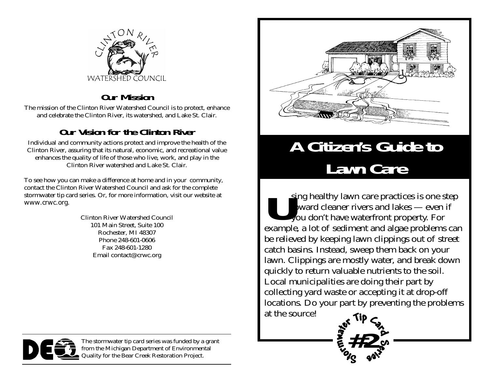

#### **Our Mission**

The mission of the Clinton River Watershed Council is to protect, enhance and celebrate the Clinton River, its watershed, and Lake St. Clair.

### **Our Vision for the Clinton River**

Individual and community actions protect and improve the health of the Clinton River, assuring that its natural, economic, and recreational value enhances the quality of life of those who live, work, and play in the Clinton River watershed and Lake St. Clair.

To see how you can make a difference at home and in your community, contact the Clinton River Watershed Council and ask for the complete stormwater tip card series. Or, for more information, visit our website at www.crwc.org.

> Clinton River Watershed Council 101 Main Street, Suite 100 Rochester, MI 48307 Phone 248-601-0606 Fax 248-601-1280 Email contact@crwc.org



## **A Citizen's Guide to Lawn Care**

**U**sing healthy lawn care practices is one step toward cleaner rivers and lakes — even if you don't have waterfront property. For example, a lot of sediment and algae problems can be relieved by keeping lawn clippings out of street catch basins. Instead, sweep them back on your lawn. Clippings are mostly water, and break down quickly to return valuable nutrients to the soil. Local municipalities are doing their part by collecting yard waste or accepting it at drop-off locations. Do your part by preventing the problems at the source!

**#2**



The stormwater tip card series was funded by a grant from the Michigan Department of Environmental Quality for the Bear Creek Restoration Project.